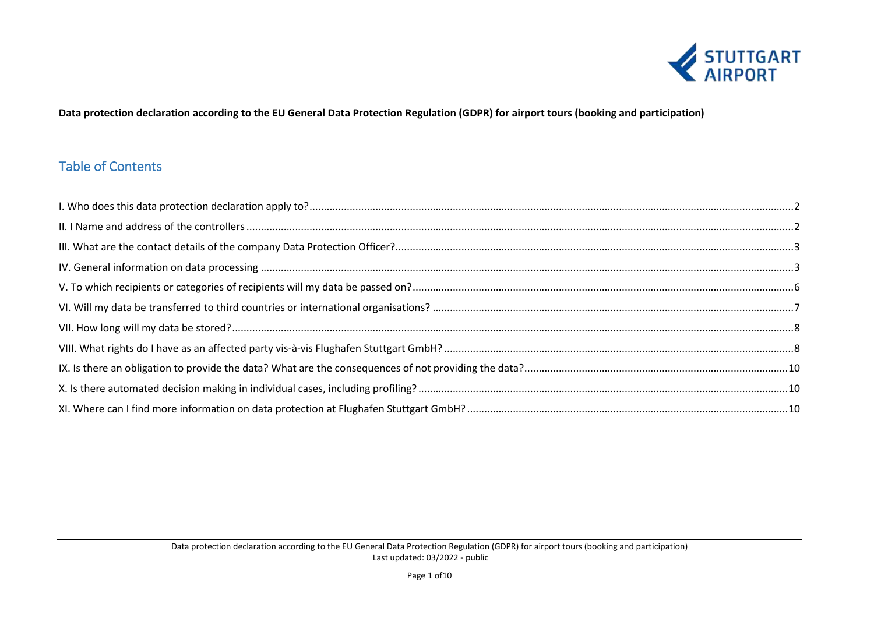

## **Data protection declaration according to the EU General Data Protection Regulation (GDPR) for airport tours (booking and participation)**

# Table of Contents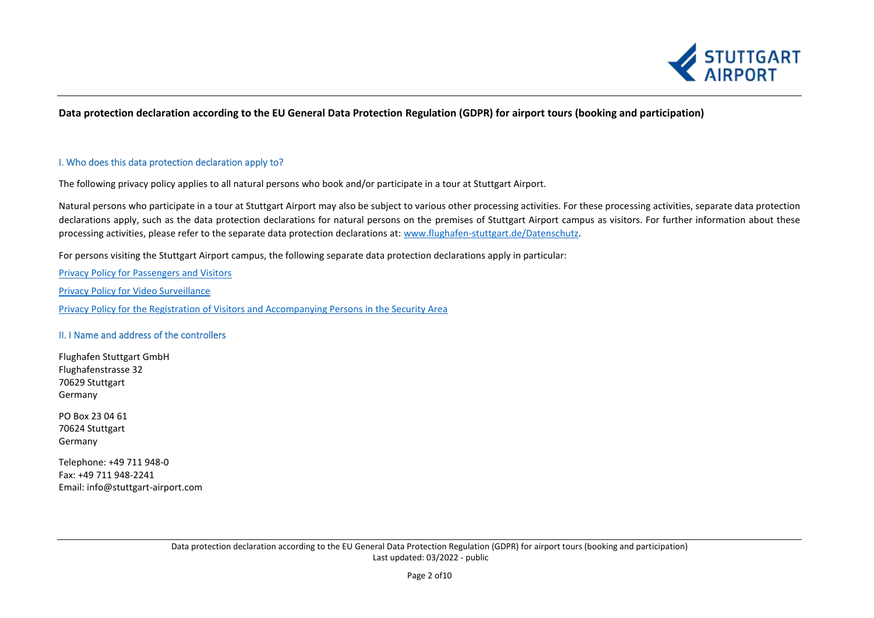

## **Data protection declaration according to the EU General Data Protection Regulation (GDPR) for airport tours (booking and participation)**

### <span id="page-1-0"></span>I. Who does this data protection declaration apply to?

The following privacy policy applies to all natural persons who book and/or participate in a tour at Stuttgart Airport.

Natural persons who participate in a tour at Stuttgart Airport may also be subject to various other processing activities. For these processing activities, separate data protection declarations apply, such as the data protection declarations for natural persons on the premises of Stuttgart Airport campus as visitors. For further information about these processing activities, please refer to the separate data protection declarations at: [www.flughafen-stuttgart.de/Datenschutz.](http://www.flughafen-stuttgart.de/Datenschutz)

For persons visiting the Stuttgart Airport campus, the following separate data protection declarations apply in particular:

[Privacy Policy for Passengers and Visitors](https://www.flughafen-stuttgart.de/media/306543/dse_fluggaeste_besucher.pdf) [Privacy Policy for Video Surveillance](https://www.flughafen-stuttgart.de/media/307380/dse_videoueberwachung.pdf) [Privacy Policy for the Registration of Visitors and Accompanying Persons in the Security Area](https://www.flughafen-stuttgart.de/media/307139/dse_besucher_sicherheitsbereich.pdf)

## <span id="page-1-1"></span>II. I Name and address of the controllers

Flughafen Stuttgart GmbH Flughafenstrasse 32 70629 Stuttgart Germany

PO Box 23 04 61 70624 Stuttgart Germany

Telephone: +49 711 948-0 Fax: +49 711 948-2241 Email: [info@stuttgart-airport.com](mailto:info@stuttgart-airport.com)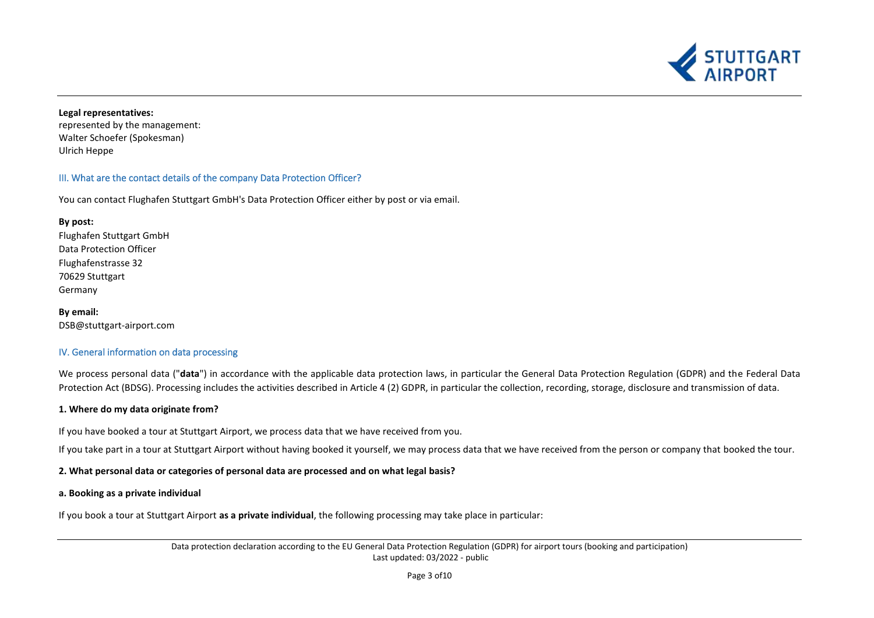

## **Legal representatives:**

represented by the management: Walter Schoefer (Spokesman) Ulrich Heppe

## <span id="page-2-0"></span>III. What are the contact details of the company Data Protection Officer?

You can contact Flughafen Stuttgart GmbH's Data Protection Officer either by post or via email.

**By post:** Flughafen Stuttgart GmbH Data Protection Officer Flughafenstrasse 32 70629 Stuttgart Germany

**By email:** DSB@stuttgart-airport.com

## <span id="page-2-1"></span>IV. General information on data processing

We process personal data ("**data**") in accordance with the applicable data protection laws, in particular the General Data Protection Regulation (GDPR) and the Federal Data Protection Act (BDSG). Processing includes the activities described in Article 4 (2) GDPR, in particular the collection, recording, storage, disclosure and transmission of data.

## **1. Where do my data originate from?**

If you have booked a tour at Stuttgart Airport, we process data that we have received from you.

If you take part in a tour at Stuttgart Airport without having booked it yourself, we may process data that we have received from the person or company that booked the tour.

**2. What personal data or categories of personal data are processed and on what legal basis?**

#### **a. Booking as a private individual**

If you book a tour at Stuttgart Airport **as a private individual**, the following processing may take place in particular:

Data protection declaration according to the EU General Data Protection Regulation (GDPR) for airport tours (booking and participation) Last updated: 03/2022 - public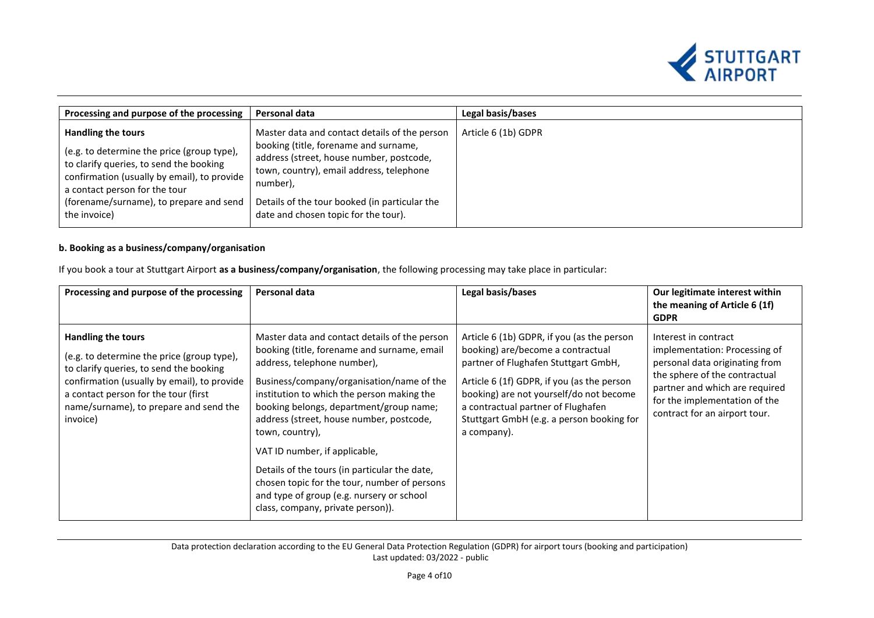

| Processing and purpose of the processing                                                                                                                                                                                                               | Personal data                                                                                                                                                                                                                                                                       | Legal basis/bases   |
|--------------------------------------------------------------------------------------------------------------------------------------------------------------------------------------------------------------------------------------------------------|-------------------------------------------------------------------------------------------------------------------------------------------------------------------------------------------------------------------------------------------------------------------------------------|---------------------|
| Handling the tours<br>(e.g. to determine the price (group type),<br>to clarify queries, to send the booking<br>confirmation (usually by email), to provide<br>a contact person for the tour<br>(forename/surname), to prepare and send<br>the invoice) | Master data and contact details of the person<br>booking (title, forename and surname,<br>address (street, house number, postcode,<br>town, country), email address, telephone<br>number),<br>Details of the tour booked (in particular the<br>date and chosen topic for the tour). | Article 6 (1b) GDPR |

## **b. Booking as a business/company/organisation**

If you book a tour at Stuttgart Airport **as a business/company/organisation**, the following processing may take place in particular:

| Processing and purpose of the processing                                                                                                                                                                                                                        | Personal data                                                                                                                                                                                                                                                                                                                                                                                                                                                                                                                                        | Legal basis/bases                                                                                                                                                                                                                                                                                                  | Our legitimate interest within<br>the meaning of Article 6 (1f)<br><b>GDPR</b>                                                                                                                                               |
|-----------------------------------------------------------------------------------------------------------------------------------------------------------------------------------------------------------------------------------------------------------------|------------------------------------------------------------------------------------------------------------------------------------------------------------------------------------------------------------------------------------------------------------------------------------------------------------------------------------------------------------------------------------------------------------------------------------------------------------------------------------------------------------------------------------------------------|--------------------------------------------------------------------------------------------------------------------------------------------------------------------------------------------------------------------------------------------------------------------------------------------------------------------|------------------------------------------------------------------------------------------------------------------------------------------------------------------------------------------------------------------------------|
| <b>Handling the tours</b><br>(e.g. to determine the price (group type),<br>to clarify queries, to send the booking<br>confirmation (usually by email), to provide<br>a contact person for the tour (first<br>name/surname), to prepare and send the<br>invoice) | Master data and contact details of the person<br>booking (title, forename and surname, email<br>address, telephone number),<br>Business/company/organisation/name of the<br>institution to which the person making the<br>booking belongs, department/group name;<br>address (street, house number, postcode,<br>town, country),<br>VAT ID number, if applicable,<br>Details of the tours (in particular the date,<br>chosen topic for the tour, number of persons<br>and type of group (e.g. nursery or school<br>class, company, private person)). | Article 6 (1b) GDPR, if you (as the person<br>booking) are/become a contractual<br>partner of Flughafen Stuttgart GmbH,<br>Article 6 (1f) GDPR, if you (as the person<br>booking) are not yourself/do not become<br>a contractual partner of Flughafen<br>Stuttgart GmbH (e.g. a person booking for<br>a company). | Interest in contract<br>implementation: Processing of<br>personal data originating from<br>the sphere of the contractual<br>partner and which are required<br>for the implementation of the<br>contract for an airport tour. |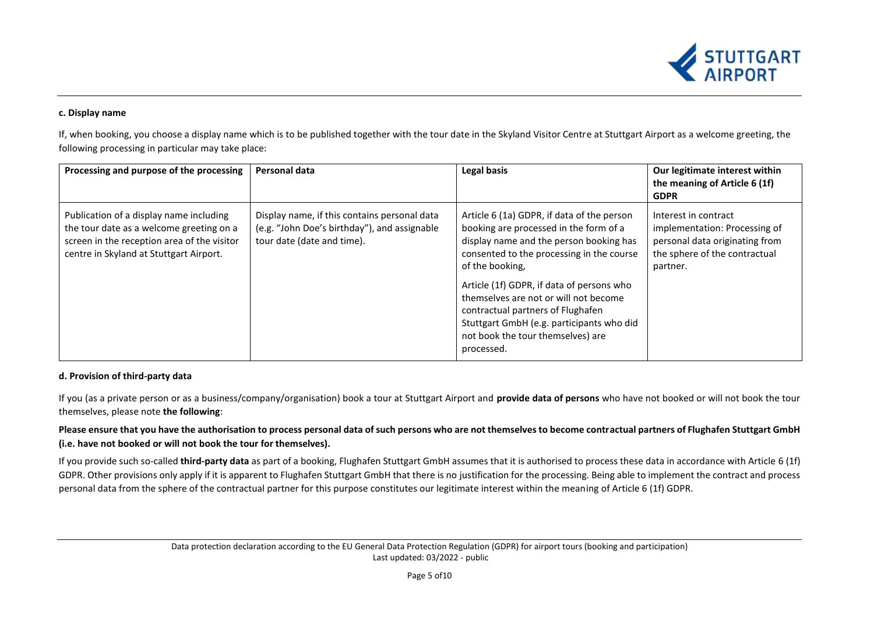

### **c. Display name**

If, when booking, you choose a display name which is to be published together with the tour date in the Skyland Visitor Centre at Stuttgart Airport as a welcome greeting, the following processing in particular may take place:

| Processing and purpose of the processing                                                                                                                                      | Personal data                                                                                                              | Legal basis                                                                                                                                                                                                             | Our legitimate interest within<br>the meaning of Article 6 (1f)<br><b>GDPR</b>                                                       |
|-------------------------------------------------------------------------------------------------------------------------------------------------------------------------------|----------------------------------------------------------------------------------------------------------------------------|-------------------------------------------------------------------------------------------------------------------------------------------------------------------------------------------------------------------------|--------------------------------------------------------------------------------------------------------------------------------------|
| Publication of a display name including<br>the tour date as a welcome greeting on a<br>screen in the reception area of the visitor<br>centre in Skyland at Stuttgart Airport. | Display name, if this contains personal data<br>(e.g. "John Doe's birthday"), and assignable<br>tour date (date and time). | Article 6 (1a) GDPR, if data of the person<br>booking are processed in the form of a<br>display name and the person booking has<br>consented to the processing in the course<br>of the booking,                         | Interest in contract<br>implementation: Processing of<br>personal data originating from<br>the sphere of the contractual<br>partner. |
|                                                                                                                                                                               |                                                                                                                            | Article (1f) GDPR, if data of persons who<br>themselves are not or will not become<br>contractual partners of Flughafen<br>Stuttgart GmbH (e.g. participants who did<br>not book the tour themselves) are<br>processed. |                                                                                                                                      |

## **d. Provision of third-party data**

If you (as a private person or as a business/company/organisation) book a tour at Stuttgart Airport and **provide data of persons** who have not booked or will not book the tour themselves, please note **the following**:

## **Please ensure that you have the authorisation to process personal data of such persons who are not themselves to become contractual partners of Flughafen Stuttgart GmbH (i.e. have not booked or will not book the tour for themselves).**

If you provide such so-called **third-party data** as part of a booking, Flughafen Stuttgart GmbH assumes that it is authorised to process these data in accordance with Article 6 (1f) GDPR. Other provisions only apply if it is apparent to Flughafen Stuttgart GmbH that there is no justification for the processing. Being able to implement the contract and process personal data from the sphere of the contractual partner for this purpose constitutes our legitimate interest within the meaning of Article 6 (1f) GDPR.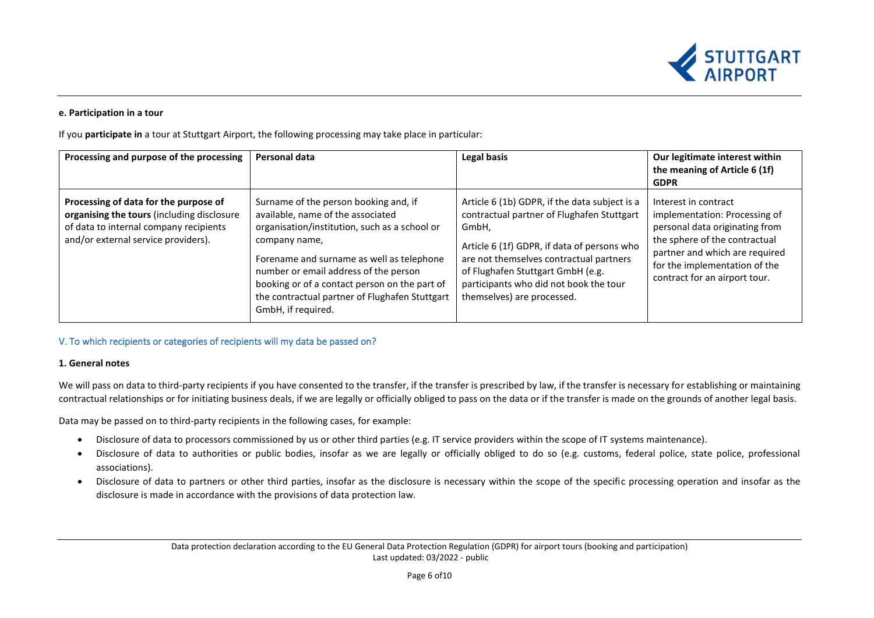

#### **e. Participation in a tour**

If you **participate in** a tour at Stuttgart Airport, the following processing may take place in particular:

| Processing and purpose of the processing                                                                                                                             | Personal data                                                                                                                                                                                                                                                                                                                                               | Legal basis                                                                                                                                                                                                                                                                                                 | Our legitimate interest within<br>the meaning of Article 6 (1f)<br><b>GDPR</b>                                                                                                                                               |
|----------------------------------------------------------------------------------------------------------------------------------------------------------------------|-------------------------------------------------------------------------------------------------------------------------------------------------------------------------------------------------------------------------------------------------------------------------------------------------------------------------------------------------------------|-------------------------------------------------------------------------------------------------------------------------------------------------------------------------------------------------------------------------------------------------------------------------------------------------------------|------------------------------------------------------------------------------------------------------------------------------------------------------------------------------------------------------------------------------|
| Processing of data for the purpose of<br>organising the tours (including disclosure<br>of data to internal company recipients<br>and/or external service providers). | Surname of the person booking and, if<br>available, name of the associated<br>organisation/institution, such as a school or<br>company name,<br>Forename and surname as well as telephone<br>number or email address of the person<br>booking or of a contact person on the part of<br>the contractual partner of Flughafen Stuttgart<br>GmbH, if required. | Article 6 (1b) GDPR, if the data subject is a<br>contractual partner of Flughafen Stuttgart<br>GmbH,<br>Article 6 (1f) GDPR, if data of persons who<br>are not themselves contractual partners<br>of Flughafen Stuttgart GmbH (e.g.<br>participants who did not book the tour<br>themselves) are processed. | Interest in contract<br>implementation: Processing of<br>personal data originating from<br>the sphere of the contractual<br>partner and which are required<br>for the implementation of the<br>contract for an airport tour. |

## <span id="page-5-0"></span>V. To which recipients or categories of recipients will my data be passed on?

#### **1. General notes**

We will pass on data to third-party recipients if you have consented to the transfer, if the transfer is prescribed by law, if the transfer is necessary for establishing or maintaining contractual relationships or for initiating business deals, if we are legally or officially obliged to pass on the data or if the transfer is made on the grounds of another legal basis.

Data may be passed on to third-party recipients in the following cases, for example:

- Disclosure of data to processors commissioned by us or other third parties (e.g. IT service providers within the scope of IT systems maintenance).
- Disclosure of data to authorities or public bodies, insofar as we are legally or officially obliged to do so (e.g. customs, federal police, state police, professional associations).
- Disclosure of data to partners or other third parties, insofar as the disclosure is necessary within the scope of the specific processing operation and insofar as the disclosure is made in accordance with the provisions of data protection law.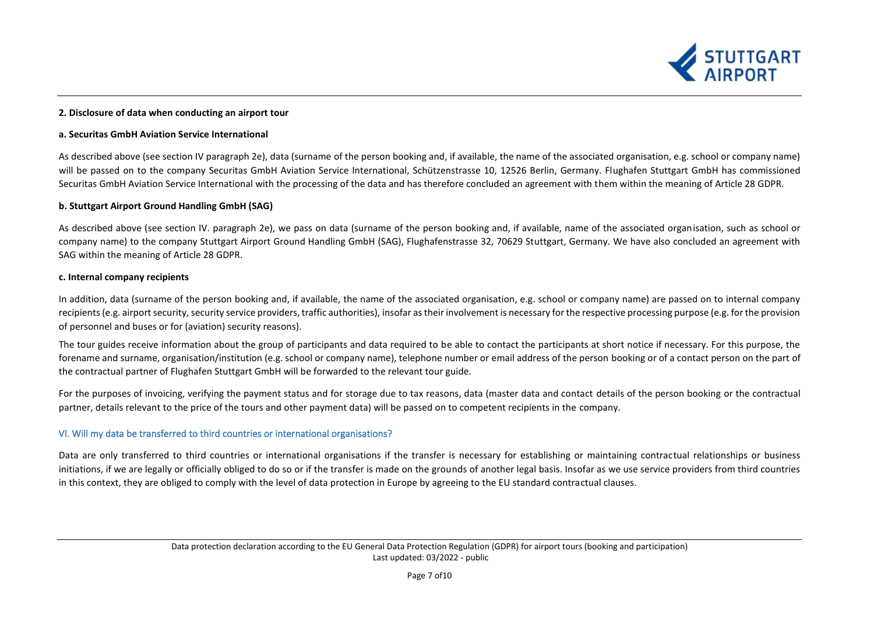

#### **2. Disclosure of data when conducting an airport tour**

#### **a. Securitas GmbH Aviation Service International**

As described above (see section IV paragraph 2e), data (surname of the person booking and, if available, the name of the associated organisation, e.g. school or company name) will be passed on to the company Securitas GmbH Aviation Service International, Schützenstrasse 10, 12526 Berlin, Germany. Flughafen Stuttgart GmbH has commissioned Securitas GmbH Aviation Service International with the processing of the data and has therefore concluded an agreement with them within the meaning of Article 28 GDPR.

#### **b. Stuttgart Airport Ground Handling GmbH (SAG)**

As described above (see section IV. paragraph 2e), we pass on data (surname of the person booking and, if available, name of the associated organisation, such as school or company name) to the company Stuttgart Airport Ground Handling GmbH (SAG), Flughafenstrasse 32, 70629 Stuttgart, Germany. We have also concluded an agreement with SAG within the meaning of Article 28 GDPR.

#### **c. Internal company recipients**

In addition, data (surname of the person booking and, if available, the name of the associated organisation, e.g. school or company name) are passed on to internal company recipients (e.g. airport security, security service providers, traffic authorities), insofar as their involvement is necessary for the respective processing purpose (e.g. for the provision of personnel and buses or for (aviation) security reasons).

The tour guides receive information about the group of participants and data required to be able to contact the participants at short notice if necessary. For this purpose, the forename and surname, organisation/institution (e.g. school or company name), telephone number or email address of the person booking or of a contact person on the part of the contractual partner of Flughafen Stuttgart GmbH will be forwarded to the relevant tour guide.

For the purposes of invoicing, verifying the payment status and for storage due to tax reasons, data (master data and contact details of the person booking or the contractual partner, details relevant to the price of the tours and other payment data) will be passed on to competent recipients in the company.

## <span id="page-6-0"></span>VI. Will my data be transferred to third countries or international organisations?

Data are only transferred to third countries or international organisations if the transfer is necessary for establishing or maintaining contractual relationships or business initiations, if we are legally or officially obliged to do so or if the transfer is made on the grounds of another legal basis. Insofar as we use service providers from third countries in this context, they are obliged to comply with the level of data protection in Europe by agreeing to the EU standard contractual clauses.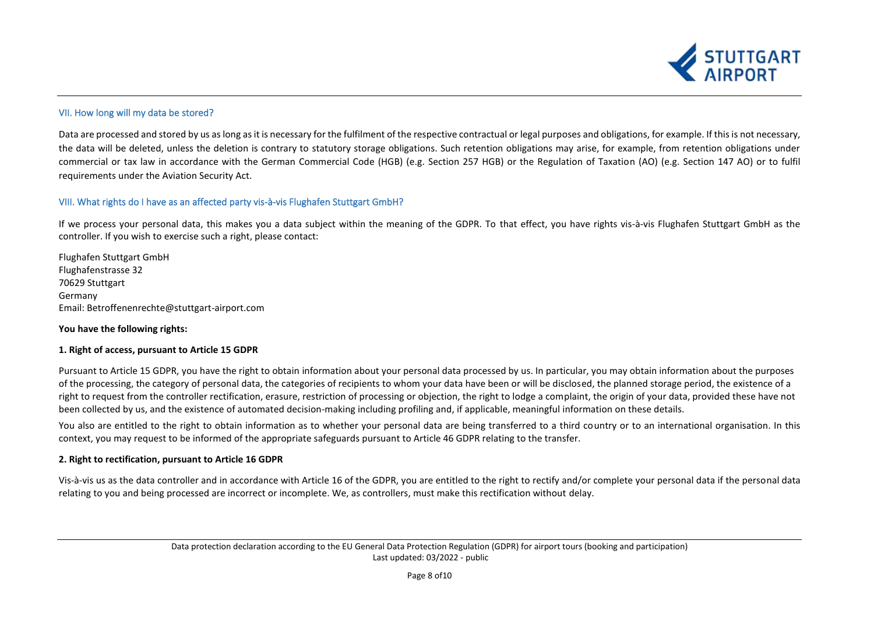

## <span id="page-7-0"></span>VII. How long will my data be stored?

Data are processed and stored by us as long as it is necessary for the fulfilment of the respective contractual or legal purposes and obligations, for example. If this is not necessary, the data will be deleted, unless the deletion is contrary to statutory storage obligations. Such retention obligations may arise, for example, from retention obligations under commercial or tax law in accordance with the German Commercial Code (HGB) (e.g. Section 257 HGB) or the Regulation of Taxation (AO) (e.g. Section 147 AO) or to fulfil requirements under the Aviation Security Act.

## <span id="page-7-1"></span>VIII. What rights do I have as an affected party vis-à-vis Flughafen Stuttgart GmbH?

If we process your personal data, this makes you a data subject within the meaning of the GDPR. To that effect, you have rights vis-à-vis Flughafen Stuttgart GmbH as the controller. If you wish to exercise such a right, please contact:

Flughafen Stuttgart GmbH Flughafenstrasse 32 70629 Stuttgart Germany Email: [Betroffenenrechte@stuttgart-airport.com](mailto:Betroffenenrechte@stuttgart-airport.com)

#### **You have the following rights:**

#### **1. Right of access, pursuant to Article 15 GDPR**

Pursuant to Article 15 GDPR, you have the right to obtain information about your personal data processed by us. In particular, you may obtain information about the purposes of the processing, the category of personal data, the categories of recipients to whom your data have been or will be disclosed, the planned storage period, the existence of a right to request from the controller rectification, erasure, restriction of processing or objection, the right to lodge a complaint, the origin of your data, provided these have not been collected by us, and the existence of automated decision-making including profiling and, if applicable, meaningful information on these details.

You also are entitled to the right to obtain information as to whether your personal data are being transferred to a third country or to an international organisation. In this context, you may request to be informed of the appropriate safeguards pursuant to Article 46 GDPR relating to the transfer.

#### **2. Right to rectification, pursuant to Article 16 GDPR**

Vis-à-vis us as the data controller and in accordance with Article 16 of the GDPR, you are entitled to the right to rectify and/or complete your personal data if the personal data relating to you and being processed are incorrect or incomplete. We, as controllers, must make this rectification without delay.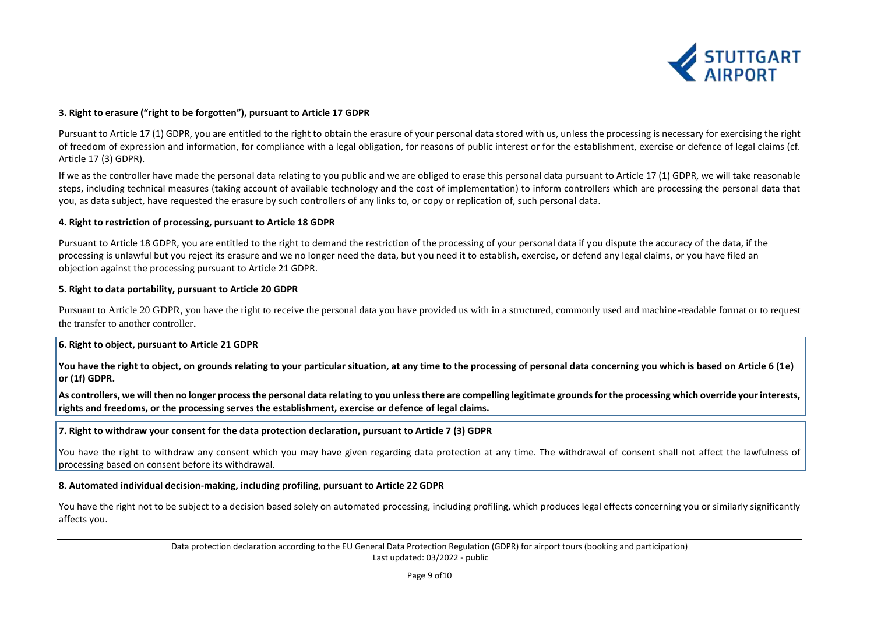

### **3. Right to erasure ("right to be forgotten"), pursuant to Article 17 GDPR**

Pursuant to Article 17 (1) GDPR, you are entitled to the right to obtain the erasure of your personal data stored with us, unless the processing is necessary for exercising the right of freedom of expression and information, for compliance with a legal obligation, for reasons of public interest or for the establishment, exercise or defence of legal claims (cf. Article 17 (3) GDPR).

If we as the controller have made the personal data relating to you public and we are obliged to erase this personal data pursuant to Article 17 (1) GDPR, we will take reasonable steps, including technical measures (taking account of available technology and the cost of implementation) to inform controllers which are processing the personal data that you, as data subject, have requested the erasure by such controllers of any links to, or copy or replication of, such personal data.

#### **4. Right to restriction of processing, pursuant to Article 18 GDPR**

Pursuant to Article 18 GDPR, you are entitled to the right to demand the restriction of the processing of your personal data if you dispute the accuracy of the data, if the processing is unlawful but you reject its erasure and we no longer need the data, but you need it to establish, exercise, or defend any legal claims, or you have filed an objection against the processing pursuant to Article 21 GDPR.

#### **5. Right to data portability, pursuant to Article 20 GDPR**

Pursuant to Article 20 GDPR, you have the right to receive the personal data you have provided us with in a structured, commonly used and machine-readable format or to request the transfer to another controller.

#### **6. Right to object, pursuant to Article 21 GDPR**

You have the right to object, on grounds relating to your particular situation, at any time to the processing of personal data concerning you which is based on Article 6 (1e) **or (1f) GDPR.**

**As controllers, we will then no longer process the personal data relating to you unless there are compelling legitimate grounds for the processing which override your interests, rights and freedoms, or the processing serves the establishment, exercise or defence of legal claims.** 

#### **7. Right to withdraw your consent for the data protection declaration, pursuant to Article 7 (3) GDPR**

You have the right to withdraw any consent which you may have given regarding data protection at any time. The withdrawal of consent shall not affect the lawfulness of processing based on consent before its withdrawal.

#### **8. Automated individual decision-making, including profiling, pursuant to Article 22 GDPR**

You have the right not to be subject to a decision based solely on automated processing, including profiling, which produces legal effects concerning you or similarly significantly affects you.